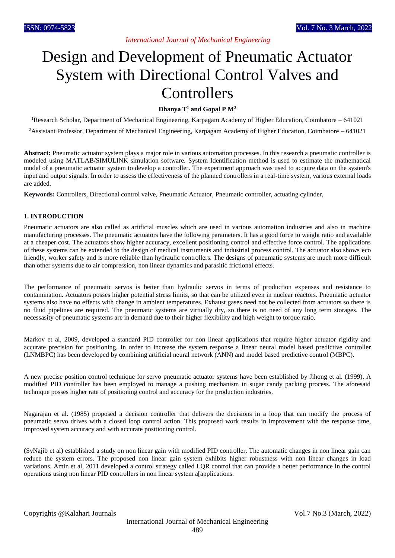# Design and Development of Pneumatic Actuator System with Directional Control Valves and **Controllers**

**Dhanya T<sup>1</sup> and Gopal P M<sup>2</sup>**

<sup>1</sup>Research Scholar, Department of Mechanical Engineering, Karpagam Academy of Higher Education, Coimbatore – 641021

<sup>2</sup>Assistant Professor, Department of Mechanical Engineering, Karpagam Academy of Higher Education, Coimbatore – 641021

**Abstract:** Pneumatic actuator system plays a major role in various automation processes. In this research a pneumatic controller is modeled using MATLAB/SIMULINK simulation software. System Identification method is used to estimate the mathematical model of a pneumatic actuator system to develop a controller. The experiment approach was used to acquire data on the system's input and output signals. In order to assess the effectiveness of the planned controllers in a real-time system, various external loads are added.

**Keywords:** Controllers, Directional control valve, Pneumatic Actuator, Pneumatic controller, actuating cylinder,

#### **1. INTRODUCTION**

Pneumatic actuators are also called as artificial muscles which are used in various automation industries and also in machine manufacturing processes. The pneumatic actuators have the following parameters. It has a good force to weight ratio and available at a cheaper cost. The actuators show higher accuracy, excellent positioning control and effective force control. The applications of these systems can be extended to the design of medical instruments and industrial process control. The actuator also shows eco friendly, worker safety and is more reliable than hydraulic controllers. The designs of pneumatic systems are much more difficult than other systems due to air compression, non linear dynamics and parasitic frictional effects.

The performance of pneumatic servos is better than hydraulic servos in terms of production expenses and resistance to contamination. Actuators posses higher potential stress limits, so that can be utilized even in nuclear reactors. Pneumatic actuator systems also have no effects with change in ambient temperatures. Exhaust gases need not be collected from actuators so there is no fluid pipelines are required. The pneumatic systems are virtually dry, so there is no need of any long term storages. The necessasity of pneumatic systems are in demand due to their higher flexibility and high weight to torque ratio.

Markov et al, 2009, developed a standard PID controller for non linear applications that require higher actuator rigidity and accurate precision for positioning. In order to increase the system response a linear neural model based predictive controller (LNMBPC) has been developed by combining artificial neural network (ANN) and model based predictive control (MBPC).

A new precise position control technique for servo pneumatic actuator systems have been established by Jihong et al. (1999). A modified PID controller has been employed to manage a pushing mechanism in sugar candy packing process. The aforesaid technique posses higher rate of positioning control and accuracy for the production industries.

Nagarajan et al. (1985) proposed a decision controller that delivers the decisions in a loop that can modify the process of pneumatic servo drives with a closed loop control action. This proposed work results in improvement with the response time, improved system accuracy and with accurate positioning control.

(SyNajib et al) established a study on non linear gain with modified PID controller. The automatic changes in non linear gain can reduce the system errors. The proposed non linear gain system exhibits higher robustness with non linear changes in load variations. Amin et al, 2011 developed a control strategy called LQR control that can provide a better performance in the control operations using non linear PID controllers in non linear system a[applications.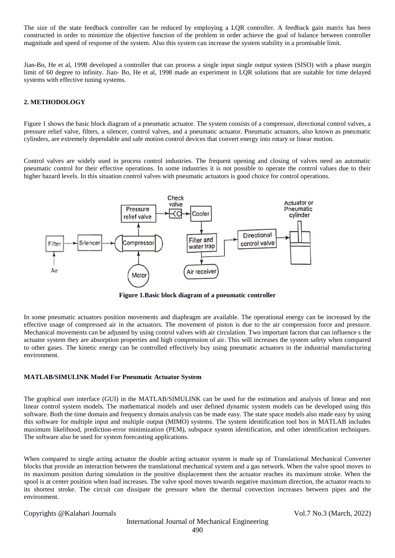The size of the state feedback controller can be reduced by employing a LQR controller. A feedback gain matrix has been constructed in order to minimize the objective function of the problem in order achieve the goal of balance between controller magnitude and speed of response of the system. Also this system can increase the system stability in a promisable limit.

Jian-Bo, He et al, 1998 developed a controller that can process a single input single output system (SISO) with a phase margin limit of 60 degree to infinity. Jian- Bo, He et al, 1998 made an experiment in LQR solutions that are suitable for time delayed systems with effective tuning systems.

## **2. METHODOLOGY**

Figure 1 shows the basic block diagram of a pneumatic actuator. The system consists of a compressor, directional control valves, a pressure relief valve, filters, a silencer, control valves, and a pneumatic actuator. Pneumatic actuators, also known as pneumatic cylinders, are extremely dependable and safe motion control devices that convert energy into rotary or linear motion.

Control valves are widely used in process control industries. The frequent opening and closing of valves need an automatic pneumatic control for their effective operations. In some industries it is not possible to operate the control values due to their higher hazard levels. In this situation control valves with pneumatic actuators is good choice for control operations.



**Figure 1.Basic block diagram of a pneumatic controller**

In some pneumatic actuators position movements and diaphragm are available. The operational energy can be increased by the effective usage of compressed air in the actuators. The movement of piston is due to the air compression force and pressure. Mechanical movements can be adjusted by using control valves with air circulation. Two important factors that can influence s the actuator system they are absorption properties and high compression of air. This will increases the system safety when compared to other gases. The kinetic energy can be controlled effectively buy using pneumatic actuators in the industrial manufacturing environment.

#### **MATLAB/SIMULINK Model For Pneumatic Actuator System**

The graphical user interface (GUI) in the MATLAB/SIMULINK can be used for the estimation and analysis of linear and non linear control system models. The mathematical models and user defined dynamic system models can be developed using this software. Both the time domain and frequency domain analysis can be made easy. The state space models also made easy by using this software for multiple input and multiple output (MIMO) systems. The system identification tool box in MATLAB includes maximum likelihood, prediction-error minimization (PEM), subspace system identification, and other identification techniques. The software also be used for system forecasting applications.

When compared to single acting actuator the double acting actuator system is made up of Translational Mechanical Converter blocks that provide an interaction between the translational mechanical system and a gas network. When the valve spool moves to its maximum position during simulation in the positive displacement then the actuator reaches its maximum stroke. When the spool is at center position when load increases. The valve spool moves towards negative maximum direction, the actuator reacts to its shortest stroke. The circuit can dissipate the pressure when the thermal convection increases between pipes and the environment.

Copyrights @Kalahari Journals Vol.7 No.3 (March, 2022)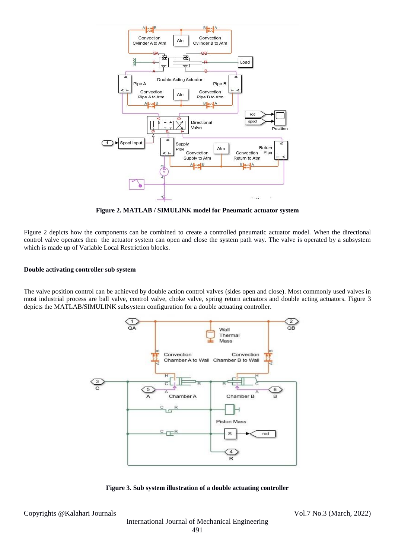

**Figure 2. MATLAB / SIMULINK model for Pneumatic actuator system** 

Figure 2 depicts how the components can be combined to create a controlled pneumatic actuator model. When the directional control valve operates then the actuator system can open and close the system path way. The valve is operated by a subsystem which is made up of Variable Local Restriction blocks.

#### **Double activating controller sub system**

The valve position control can be achieved by double action control valves (sides open and close). Most commonly used valves in most industrial process are ball valve, control valve, choke valve, spring return actuators and double acting actuators. Figure 3 depicts the MATLAB/SIMULINK subsystem configuration for a double actuating controller.



**Figure 3. Sub system illustration of a double actuating controller** 

Copyrights @Kalahari Journals Vol.7 No.3 (March, 2022)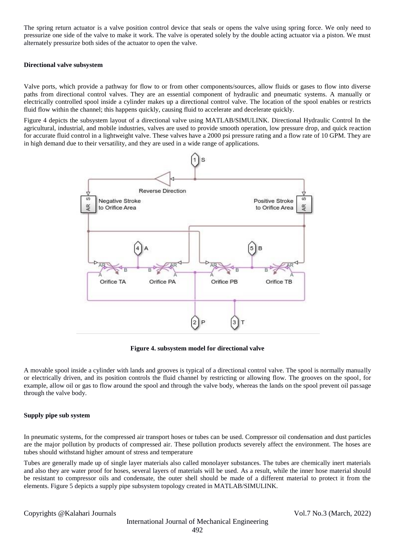The spring return actuator is a valve position control device that seals or opens the valve using spring force. We only need to pressurize one side of the valve to make it work. The valve is operated solely by the double acting actuator via a piston. We must alternately pressurize both sides of the actuator to open the valve.

#### **Directional valve subsystem**

Valve ports, which provide a pathway for flow to or from other components/sources, allow fluids or gases to flow into diverse paths from directional control valves. They are an essential component of hydraulic and pneumatic systems. A manually or electrically controlled spool inside a cylinder makes up a directional control valve. The location of the spool enables or restricts fluid flow within the channel; this happens quickly, causing fluid to accelerate and decelerate quickly.

Figure 4 depicts the subsystem layout of a directional valve using MATLAB/SIMULINK. Directional Hydraulic Control In the agricultural, industrial, and mobile industries, valves are used to provide smooth operation, low pressure drop, and quick reaction for accurate fluid control in a lightweight valve. These valves have a 2000 psi pressure rating and a flow rate of 10 GPM. They are in high demand due to their versatility, and they are used in a wide range of applications.



**Figure 4. subsystem model for directional valve**

A movable spool inside a cylinder with lands and grooves is typical of a directional control valve. The spool is normally manually or electrically driven, and its position controls the fluid channel by restricting or allowing flow. The grooves on the spool, for example, allow oil or gas to flow around the spool and through the valve body, whereas the lands on the spool prevent oil passage through the valve body.

#### **Supply pipe sub system**

In pneumatic systems, for the compressed air transport hoses or tubes can be used. Compressor oil condensation and dust particles are the major pollution by products of compressed air. These pollution products severely affect the environment. The hoses are tubes should withstand higher amount of stress and temperature

Tubes are generally made up of single layer materials also called monolayer substances. The tubes are chemically inert materials and also they are water proof for hoses, several layers of materials will be used. As a result, while the inner hose material should be resistant to compressor oils and condensate, the outer shell should be made of a different material to protect it from the elements. Figure 5 depicts a supply pipe subsystem topology created in MATLAB/SIMULINK.

Copyrights @Kalahari Journals Vol.7 No.3 (March, 2022)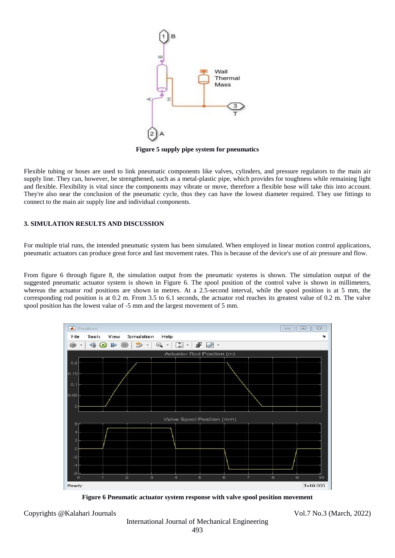

**Figure 5 supply pipe system for pneumatics**

Flexible tubing or hoses are used to link pneumatic components like valves, cylinders, and pressure regulators to the main air supply line. They can, however, be strengthened, such as a metal-plastic pipe, which provides for toughness while remaining light and flexible. Flexibility is vital since the components may vibrate or move, therefore a flexible hose will take this into account. They're also near the conclusion of the pneumatic cycle, thus they can have the lowest diameter required. They use fittings to connect to the main air supply line and individual components.

### **3. SIMULATION RESULTS AND DISCUSSION**

For multiple trial runs, the intended pneumatic system has been simulated. When employed in linear motion control applications, pneumatic actuators can produce great force and fast movement rates. This is because of the device's use of air pressure and flow.

From figure 6 through figure 8, the simulation output from the pneumatic systems is shown. The simulation output of the suggested pneumatic actuator system is shown in Figure 6. The spool position of the control valve is shown in millimeters, whereas the actuator rod positions are shown in metres. At a 2.5-second interval, while the spool position is at 5 mm, the corresponding rod position is at 0.2 m. From 3.5 to 6.1 seconds, the actuator rod reaches its greatest value of 0.2 m. The valve spool position has the lowest value of -5 mm and the largest movement of 5 mm.



**Figure 6 Pneumatic actuator system response with valve spool position movement**

Copyrights @Kalahari Journals Vol.7 No.3 (March, 2022)

International Journal of Mechanical Engineering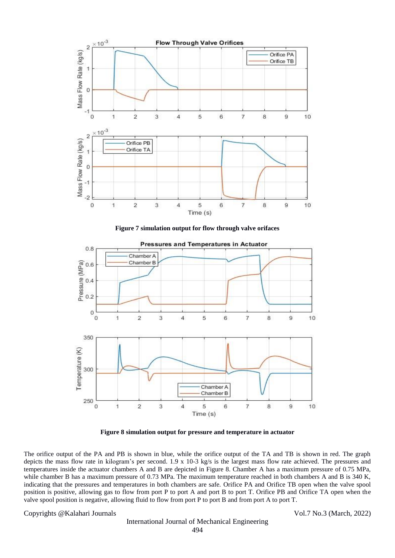

**Figure 7 simulation output for flow through valve orifaces**



**Figure 8 simulation output for pressure and temperature in actuator**

The orifice output of the PA and PB is shown in blue, while the orifice output of the TA and TB is shown in red. The graph depicts the mass flow rate in kilogram's per second. 1.9 x 10-3 kg/s is the largest mass flow rate achieved. The pressures and temperatures inside the actuator chambers A and B are depicted in Figure 8. Chamber A has a maximum pressure of 0.75 MPa, while chamber B has a maximum pressure of 0.73 MPa. The maximum temperature reached in both chambers A and B is 340 K, indicating that the pressures and temperatures in both chambers are safe. Orifice PA and Orifice TB open when the valve spool position is positive, allowing gas to flow from port P to port A and port B to port T. Orifice PB and Orifice TA open when the valve spool position is negative, allowing fluid to flow from port P to port B and from port A to port T.

#### Copyrights @Kalahari Journals Vol.7 No.3 (March, 2022)

# International Journal of Mechanical Engineering